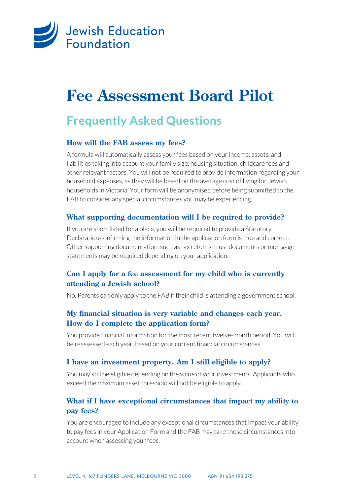

# **Fee Assessment Board Pilot**

# **Frequently Asked Questions**

#### **How will the FAB assess my fees?**

A formula will automatically assess your fees based on your income, assets, and liabilities taking into account your family size, housing situation, childcare fees and other relevant factors. You will not be required to provide information regarding your household expenses, as they will be based on the average cost of living for Jewish households in Victoria. Your form will be anonymised before being submitted to the FAB to consider any special circumstances you may be experiencing.

#### **What supporting documentation will I be required to provide?**

If you are short listed for a place, you will be required to provide a Statutory Declaration confirming the information in the application form is true and correct. Other supporting documentation, such as tax returns, trust documents or mortgage statements may be required depending on your application.

## **Can I apply for a fee assessment for my child who is currently attending a Jewish school?**

No. Parents can only apply to the FAB if their child is attending a government school.

## **My financial situation is very variable and changes each year. How do I complete the application form?**

You provide financial information for the most recent twelve-month period. You will be reassessed each year, based on your current financial circumstances.

#### **I have an investment property. Am I still eligible to apply?**

You may still be eligible depending on the value of your investments. Applicants who exceed the maximum asset threshold will not be eligible to apply.

# **What if I have exceptional circumstances that impact my ability to pay fees?**

You are encouraged to include any exceptional circumstances that impact your ability to pay fees in your Application Form and the FAB may take those circumstances into account when assessing your fees.